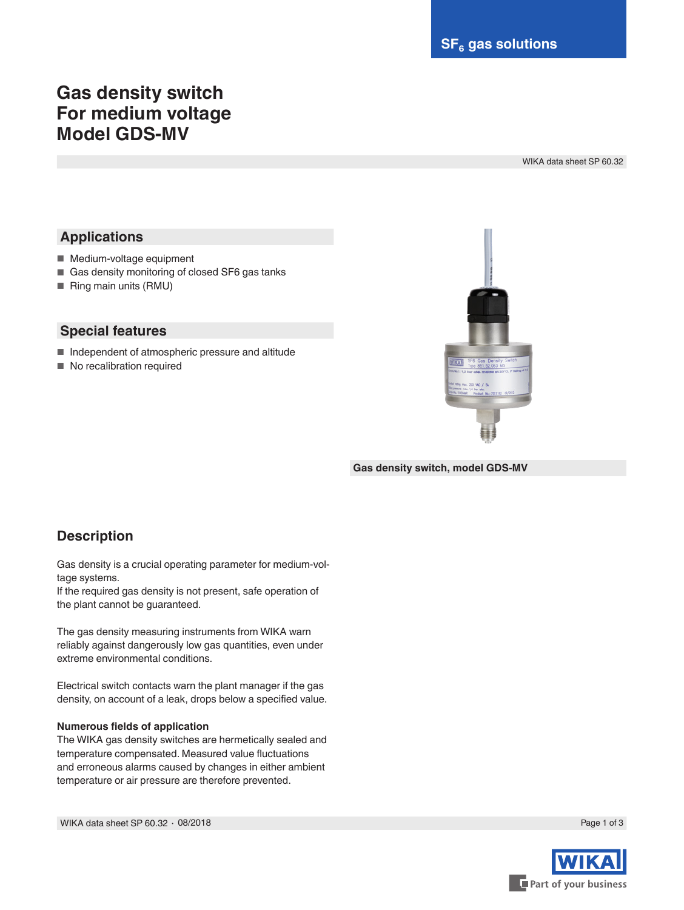# **Gas density switch For medium voltage Model GDS-MV**

WIKA data sheet SP 60.32

## **Applications**

- Medium-voltage equipment
- Gas density monitoring of closed SF6 gas tanks
- Ring main units (RMU)

#### **Special features**

- Independent of atmospheric pressure and altitude
- No recalibration required



**Gas density switch, model GDS-MV**

## **Description**

Gas density is a crucial operating parameter for medium-voltage systems.

If the required gas density is not present, safe operation of the plant cannot be guaranteed.

The gas density measuring instruments from WIKA warn reliably against dangerously low gas quantities, even under extreme environmental conditions.

Electrical switch contacts warn the plant manager if the gas density, on account of a leak, drops below a specified value.

#### **Numerous fields of application**

The WIKA gas density switches are hermetically sealed and temperature compensated. Measured value fluctuations and erroneous alarms caused by changes in either ambient temperature or air pressure are therefore prevented.

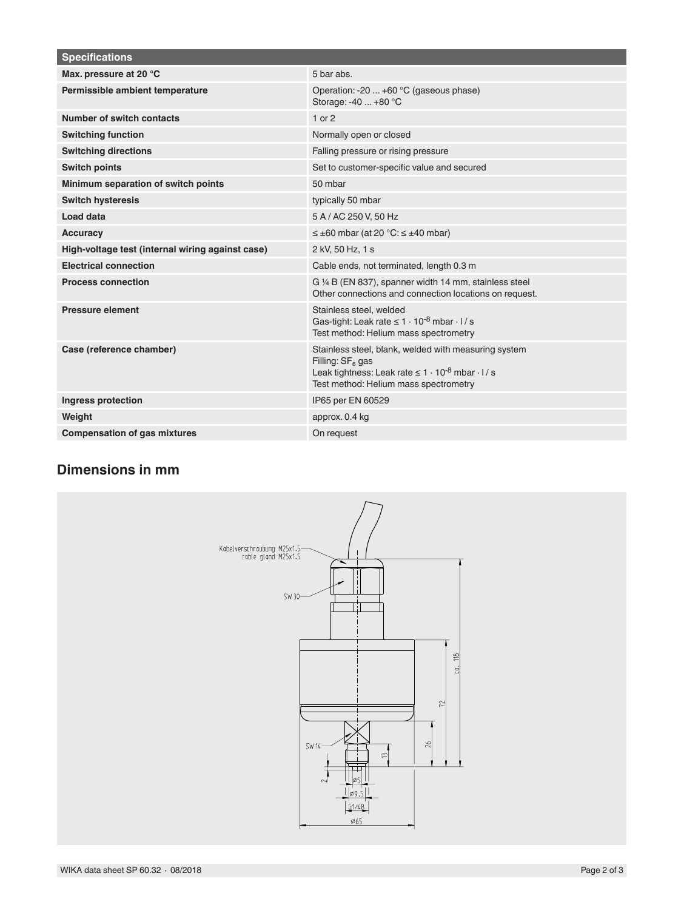| <b>Specifications</b>                            |                                                                                                                                                                                            |
|--------------------------------------------------|--------------------------------------------------------------------------------------------------------------------------------------------------------------------------------------------|
| Max. pressure at 20 °C                           | 5 bar abs.                                                                                                                                                                                 |
| Permissible ambient temperature                  | Operation: -20  +60 °C (gaseous phase)<br>Storage: -40  +80 °C                                                                                                                             |
| Number of switch contacts                        | $1$ or $2$                                                                                                                                                                                 |
| <b>Switching function</b>                        | Normally open or closed                                                                                                                                                                    |
| <b>Switching directions</b>                      | Falling pressure or rising pressure                                                                                                                                                        |
| <b>Switch points</b>                             | Set to customer-specific value and secured                                                                                                                                                 |
| Minimum separation of switch points              | 50 mbar                                                                                                                                                                                    |
| <b>Switch hysteresis</b>                         | typically 50 mbar                                                                                                                                                                          |
| Load data                                        | 5 A / AC 250 V, 50 Hz                                                                                                                                                                      |
| <b>Accuracy</b>                                  | $\leq \pm 60$ mbar (at 20 °C: $\leq \pm 40$ mbar)                                                                                                                                          |
| High-voltage test (internal wiring against case) | 2 kV, 50 Hz, 1 s                                                                                                                                                                           |
| <b>Electrical connection</b>                     | Cable ends, not terminated, length 0.3 m                                                                                                                                                   |
| <b>Process connection</b>                        | G 1/4 B (EN 837), spanner width 14 mm, stainless steel<br>Other connections and connection locations on request.                                                                           |
| <b>Pressure element</b>                          | Stainless steel, welded<br>Gas-tight: Leak rate $\leq 1 \cdot 10^{-8}$ mbar $\cdot$ l / s<br>Test method: Helium mass spectrometry                                                         |
| Case (reference chamber)                         | Stainless steel, blank, welded with measuring system<br>Filling: $SF6$ gas<br>Leak tightness: Leak rate $\leq 1 \cdot 10^{-8}$ mbar $\cdot$ l / s<br>Test method: Helium mass spectrometry |
| Ingress protection                               | IP65 per EN 60529                                                                                                                                                                          |
| Weight                                           | approx. 0.4 kg                                                                                                                                                                             |
| <b>Compensation of gas mixtures</b>              | On request                                                                                                                                                                                 |

## **Dimensions in mm**